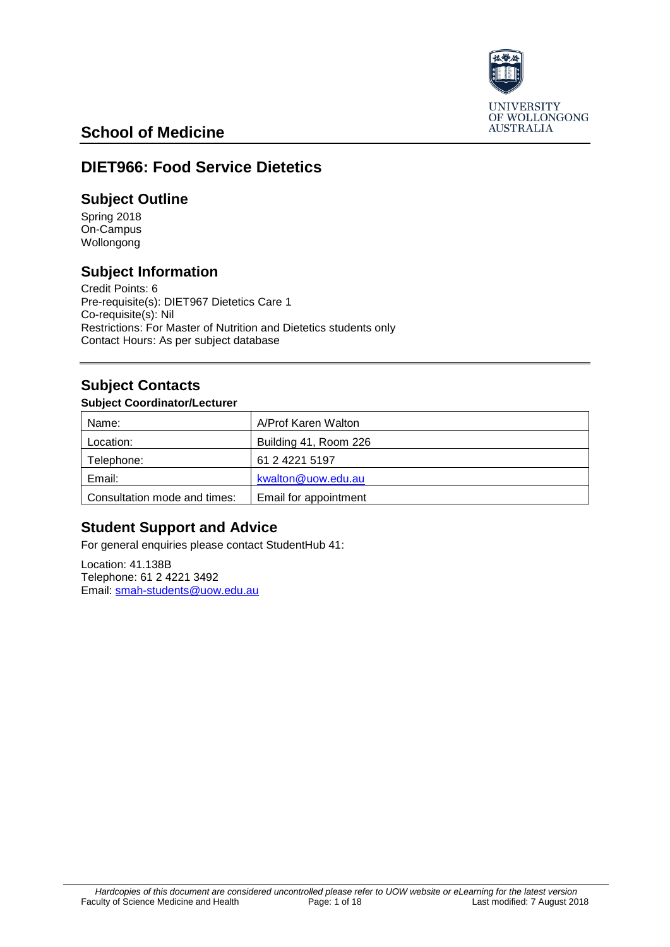

# **School of Medicine**

## **DIET966: Food Service Dietetics**

### **Subject Outline**

Spring 2018 On-Campus Wollongong

## **Subject Information**

Credit Points: 6 Pre-requisite(s): DIET967 Dietetics Care 1 Co-requisite(s): Nil Restrictions: For Master of Nutrition and Dietetics students only Contact Hours: As per subject database

## **Subject Contacts**

#### **Subject Coordinator/Lecturer**

| Name:                        | A/Prof Karen Walton   |
|------------------------------|-----------------------|
| Location:                    | Building 41, Room 226 |
| Telephone:                   | 61 2 4221 5197        |
| Email:                       | kwalton@uow.edu.au    |
| Consultation mode and times: | Email for appointment |

## **Student Support and Advice**

For general enquiries please contact StudentHub 41:

Location: 41.138B Telephone: 61 2 4221 3492 Email: [smah-students@uow.edu.au](mailto:smah-students@uow.edu.au)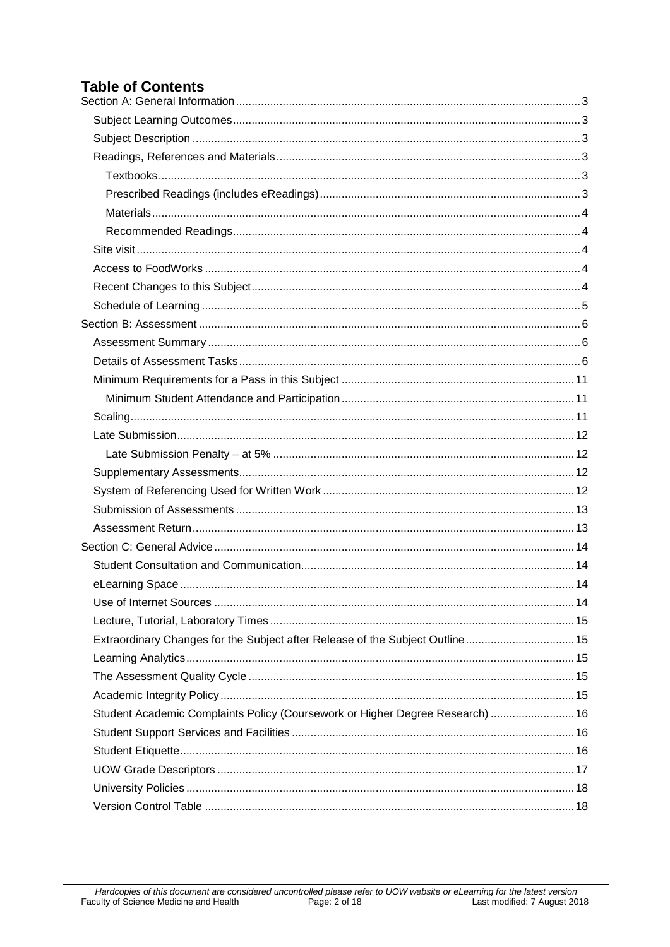# **Table of Contents**

| Extraordinary Changes for the Subject after Release of the Subject Outline 15 |  |
|-------------------------------------------------------------------------------|--|
|                                                                               |  |
|                                                                               |  |
|                                                                               |  |
| Student Academic Complaints Policy (Coursework or Higher Degree Research)  16 |  |
|                                                                               |  |
|                                                                               |  |
|                                                                               |  |
|                                                                               |  |
|                                                                               |  |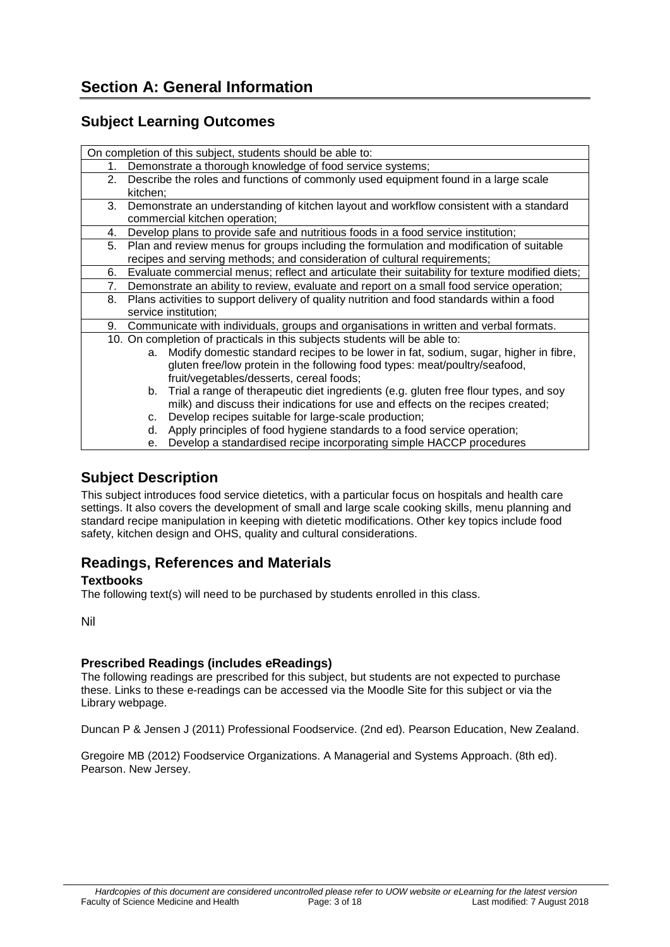## <span id="page-2-1"></span><span id="page-2-0"></span>**Subject Learning Outcomes**

| On completion of this subject, students should be able to: |                                                                                                 |  |  |  |
|------------------------------------------------------------|-------------------------------------------------------------------------------------------------|--|--|--|
| 1.                                                         | Demonstrate a thorough knowledge of food service systems;                                       |  |  |  |
| 2.                                                         | Describe the roles and functions of commonly used equipment found in a large scale              |  |  |  |
|                                                            | kitchen;                                                                                        |  |  |  |
| 3.                                                         | Demonstrate an understanding of kitchen layout and workflow consistent with a standard          |  |  |  |
|                                                            | commercial kitchen operation;                                                                   |  |  |  |
| 4.                                                         | Develop plans to provide safe and nutritious foods in a food service institution;               |  |  |  |
| 5.                                                         | Plan and review menus for groups including the formulation and modification of suitable         |  |  |  |
|                                                            | recipes and serving methods; and consideration of cultural requirements;                        |  |  |  |
| 6.                                                         | Evaluate commercial menus; reflect and articulate their suitability for texture modified diets; |  |  |  |
| 7.                                                         | Demonstrate an ability to review, evaluate and report on a small food service operation;        |  |  |  |
| 8.                                                         | Plans activities to support delivery of quality nutrition and food standards within a food      |  |  |  |
|                                                            | service institution;                                                                            |  |  |  |
| 9.                                                         | Communicate with individuals, groups and organisations in written and verbal formats.           |  |  |  |
|                                                            | 10. On completion of practicals in this subjects students will be able to:                      |  |  |  |
|                                                            | Modify domestic standard recipes to be lower in fat, sodium, sugar, higher in fibre,<br>a.      |  |  |  |
|                                                            | gluten free/low protein in the following food types: meat/poultry/seafood,                      |  |  |  |
|                                                            | fruit/vegetables/desserts, cereal foods;                                                        |  |  |  |
|                                                            | Trial a range of therapeutic diet ingredients (e.g. gluten free flour types, and soy<br>b.      |  |  |  |
|                                                            | milk) and discuss their indications for use and effects on the recipes created;                 |  |  |  |
|                                                            | Develop recipes suitable for large-scale production;<br>c.                                      |  |  |  |
|                                                            | Apply principles of food hygiene standards to a food service operation;<br>d.                   |  |  |  |
|                                                            | Develop a standardised recipe incorporating simple HACCP procedures<br>е.                       |  |  |  |

## <span id="page-2-2"></span>**Subject Description**

This subject introduces food service dietetics, with a particular focus on hospitals and health care settings. It also covers the development of small and large scale cooking skills, menu planning and standard recipe manipulation in keeping with dietetic modifications. Other key topics include food safety, kitchen design and OHS, quality and cultural considerations.

## <span id="page-2-3"></span>**Readings, References and Materials**

#### <span id="page-2-4"></span>**Textbooks**

The following text(s) will need to be purchased by students enrolled in this class.

Nil

#### <span id="page-2-5"></span>**Prescribed Readings (includes eReadings)**

The following readings are prescribed for this subject, but students are not expected to purchase these. Links to these e-readings can be accessed via the Moodle Site for this subject or via the Library webpage.

Duncan P & Jensen J (2011) Professional Foodservice. (2nd ed). Pearson Education, New Zealand.

Gregoire MB (2012) Foodservice Organizations. A Managerial and Systems Approach. (8th ed). Pearson. New Jersey.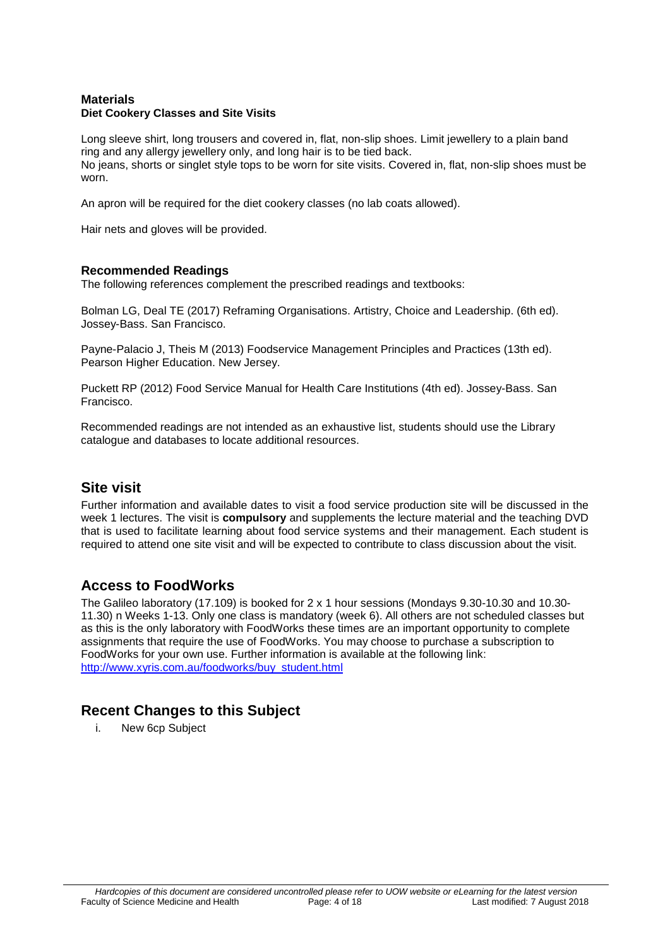#### <span id="page-3-0"></span>**Materials Diet Cookery Classes and Site Visits**

Long sleeve shirt, long trousers and covered in, flat, non-slip shoes. Limit jewellery to a plain band ring and any allergy jewellery only, and long hair is to be tied back. No jeans, shorts or singlet style tops to be worn for site visits. Covered in, flat, non-slip shoes must be worn.

An apron will be required for the diet cookery classes (no lab coats allowed).

Hair nets and gloves will be provided.

#### <span id="page-3-1"></span>**Recommended Readings**

The following references complement the prescribed readings and textbooks:

Bolman LG, Deal TE (2017) Reframing Organisations. Artistry, Choice and Leadership. (6th ed). Jossey-Bass. San Francisco.

Payne-Palacio J, Theis M (2013) Foodservice Management Principles and Practices (13th ed). Pearson Higher Education. New Jersey.

Puckett RP (2012) Food Service Manual for Health Care Institutions (4th ed). Jossey-Bass. San Francisco.

Recommended readings are not intended as an exhaustive list, students should use the Library catalogue and databases to locate additional resources.

### <span id="page-3-2"></span>**Site visit**

Further information and available dates to visit a food service production site will be discussed in the week 1 lectures. The visit is **compulsory** and supplements the lecture material and the teaching DVD that is used to facilitate learning about food service systems and their management. Each student is required to attend one site visit and will be expected to contribute to class discussion about the visit.

### <span id="page-3-3"></span>**Access to FoodWorks**

The Galileo laboratory (17.109) is booked for 2 x 1 hour sessions (Mondays 9.30-10.30 and 10.30- 11.30) n Weeks 1-13. Only one class is mandatory (week 6). All others are not scheduled classes but as this is the only laboratory with FoodWorks these times are an important opportunity to complete assignments that require the use of FoodWorks. You may choose to purchase a subscription to FoodWorks for your own use. Further information is available at the following link: [http://www.xyris.com.au/foodworks/buy\\_student.html](http://www.xyris.com.au/foodworks/buy_student.html)

### <span id="page-3-4"></span>**Recent Changes to this Subject**

i. New 6cp Subject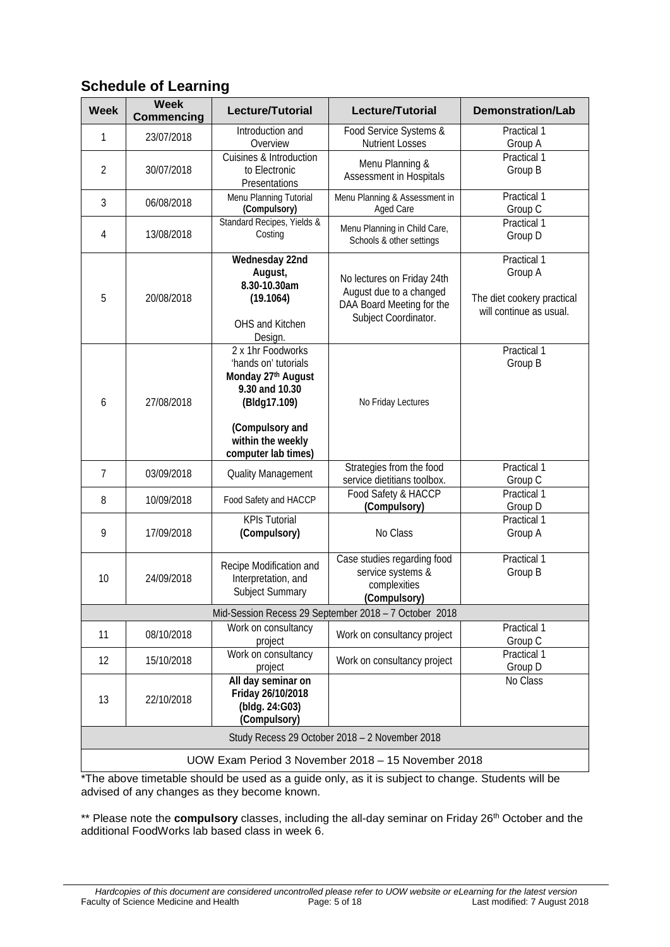| <b>Week</b>    | <b>Week</b><br><b>Commencing</b> | <b>Lecture/Tutorial</b>                                                                                                                                          | Lecture/Tutorial                                                                                           | <b>Demonstration/Lab</b>                                                        |  |  |
|----------------|----------------------------------|------------------------------------------------------------------------------------------------------------------------------------------------------------------|------------------------------------------------------------------------------------------------------------|---------------------------------------------------------------------------------|--|--|
| 1              | 23/07/2018                       | Introduction and<br>Overview                                                                                                                                     | Food Service Systems &<br><b>Nutrient Losses</b>                                                           | Practical 1<br>Group A                                                          |  |  |
| $\overline{2}$ | 30/07/2018                       | Cuisines & Introduction<br>to Electronic<br>Presentations                                                                                                        | Menu Planning &<br>Assessment in Hospitals                                                                 | Practical 1<br>Group B                                                          |  |  |
| 3              | 06/08/2018                       | Menu Planning Tutorial<br>(Compulsory)                                                                                                                           | Menu Planning & Assessment in<br>Aged Care                                                                 | Practical 1<br>Group C                                                          |  |  |
| $\overline{4}$ | 13/08/2018                       | Standard Recipes, Yields &<br>Costing                                                                                                                            | Menu Planning in Child Care,<br>Schools & other settings                                                   | Practical 1<br>Group D                                                          |  |  |
| 5              | 20/08/2018                       | Wednesday 22nd<br>August,<br>8.30-10.30am<br>(19.1064)<br>OHS and Kitchen<br>Design.                                                                             | No lectures on Friday 24th<br>August due to a changed<br>DAA Board Meeting for the<br>Subject Coordinator. | Practical 1<br>Group A<br>The diet cookery practical<br>will continue as usual. |  |  |
| 6              | 27/08/2018                       | 2 x 1hr Foodworks<br>'hands on' tutorials<br>Monday 27th August<br>9.30 and 10.30<br>(Bldg17.109)<br>(Compulsory and<br>within the weekly<br>computer lab times) | No Friday Lectures                                                                                         |                                                                                 |  |  |
| $\overline{7}$ | 03/09/2018                       | <b>Quality Management</b>                                                                                                                                        | Strategies from the food<br>service dietitians toolbox.                                                    | Practical 1<br>Group C                                                          |  |  |
| 8              | 10/09/2018                       | Food Safety and HACCP                                                                                                                                            | Food Safety & HACCP<br>(Compulsory)                                                                        | Practical 1<br>Group D                                                          |  |  |
| 9              | 17/09/2018                       | <b>KPIs Tutorial</b><br>(Compulsory)                                                                                                                             | No Class                                                                                                   | Practical 1<br>Group A                                                          |  |  |
| 10             | 24/09/2018                       | Recipe Modification and<br>Interpretation, and<br>Subject Summary                                                                                                | Case studies regarding food<br>service systems &<br>complexities<br>(Compulsory)                           | Practical 1<br>Group B                                                          |  |  |
|                |                                  |                                                                                                                                                                  | Mid-Session Recess 29 September 2018 - 7 October 2018                                                      |                                                                                 |  |  |
| 11             | 08/10/2018                       | Work on consultancy<br>project                                                                                                                                   | Work on consultancy project                                                                                | Practical 1<br>Group C                                                          |  |  |
| 12             | 15/10/2018                       | Work on consultancy<br>project                                                                                                                                   | Work on consultancy project                                                                                | Practical 1<br>Group D                                                          |  |  |
| 13             | 22/10/2018                       | All day seminar on<br>Friday 26/10/2018<br>(bldg. 24:G03)<br>(Compulsory)                                                                                        | No Class                                                                                                   |                                                                                 |  |  |
|                |                                  |                                                                                                                                                                  | Study Recess 29 October 2018 - 2 November 2018                                                             |                                                                                 |  |  |
|                |                                  |                                                                                                                                                                  | UOW Exam Period 3 November 2018 - 15 November 2018                                                         |                                                                                 |  |  |

## <span id="page-4-0"></span>**Schedule of Learning**

\*The above timetable should be used as a guide only, as it is subject to change. Students will be advised of any changes as they become known.

<span id="page-4-1"></span>\*\* Please note the **compulsory** classes, including the all-day seminar on Friday 26<sup>th</sup> October and the additional FoodWorks lab based class in week 6.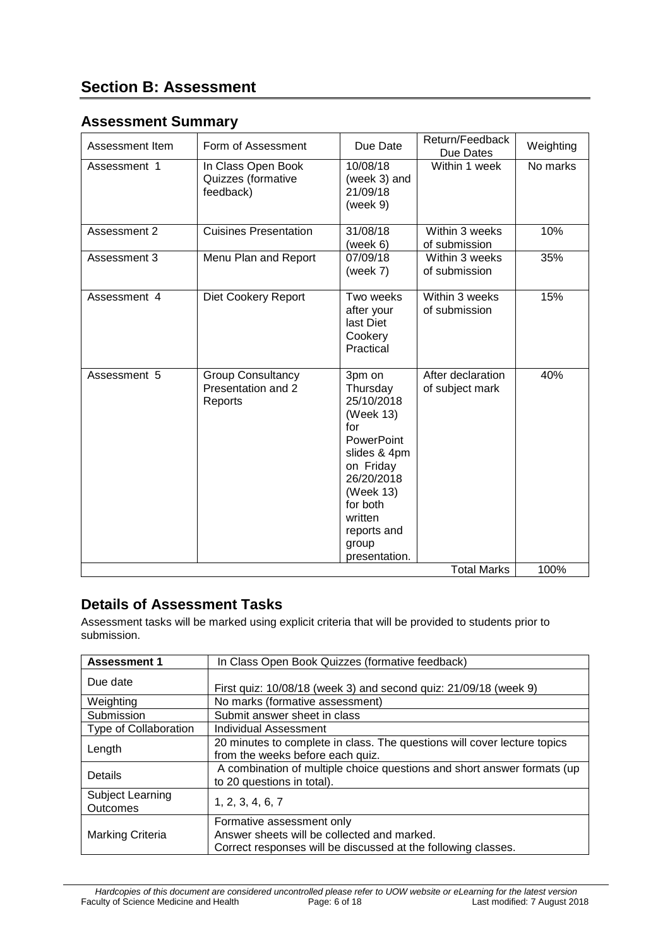## <span id="page-5-0"></span>**Assessment Summary**

| Assessment Item | Form of Assessment                                        | Due Date                                                                                                                                                                                          | Return/Feedback<br>Due Dates         | Weighting |
|-----------------|-----------------------------------------------------------|---------------------------------------------------------------------------------------------------------------------------------------------------------------------------------------------------|--------------------------------------|-----------|
| Assessment 1    | In Class Open Book<br>Quizzes (formative<br>feedback)     | 10/08/18<br>(week 3) and<br>21/09/18<br>(week 9)                                                                                                                                                  | Within 1 week                        | No marks  |
| Assessment 2    | <b>Cuisines Presentation</b>                              | 31/08/18<br>(week 6)                                                                                                                                                                              | Within 3 weeks<br>of submission      | 10%       |
| Assessment 3    | Menu Plan and Report                                      | 07/09/18<br>(week $7$ )                                                                                                                                                                           | Within 3 weeks<br>of submission      | 35%       |
| Assessment 4    | <b>Diet Cookery Report</b>                                | Two weeks<br>after your<br>last Diet<br>Cookery<br>Practical                                                                                                                                      | Within 3 weeks<br>of submission      | 15%       |
| Assessment 5    | <b>Group Consultancy</b><br>Presentation and 2<br>Reports | 3pm on<br>Thursday<br>25/10/2018<br>(Week 13)<br>for<br><b>PowerPoint</b><br>slides & 4pm<br>on Friday<br>26/20/2018<br>(Week 13)<br>for both<br>written<br>reports and<br>group<br>presentation. | After declaration<br>of subject mark | 40%       |
|                 |                                                           |                                                                                                                                                                                                   | <b>Total Marks</b>                   | 100%      |

# <span id="page-5-1"></span>**Details of Assessment Tasks**

Assessment tasks will be marked using explicit criteria that will be provided to students prior to submission.

| <b>Assessment 1</b>          | In Class Open Book Quizzes (formative feedback)                                                                                           |  |  |
|------------------------------|-------------------------------------------------------------------------------------------------------------------------------------------|--|--|
| Due date                     | First quiz: 10/08/18 (week 3) and second quiz: 21/09/18 (week 9)                                                                          |  |  |
| Weighting                    | No marks (formative assessment)                                                                                                           |  |  |
| Submission                   | Submit answer sheet in class                                                                                                              |  |  |
| Type of Collaboration        | Individual Assessment                                                                                                                     |  |  |
| Length                       | 20 minutes to complete in class. The questions will cover lecture topics<br>from the weeks before each quiz.                              |  |  |
| Details                      | A combination of multiple choice questions and short answer formats (up<br>to 20 questions in total).                                     |  |  |
| Subject Learning<br>Outcomes | 1, 2, 3, 4, 6, 7                                                                                                                          |  |  |
| Marking Criteria             | Formative assessment only<br>Answer sheets will be collected and marked.<br>Correct responses will be discussed at the following classes. |  |  |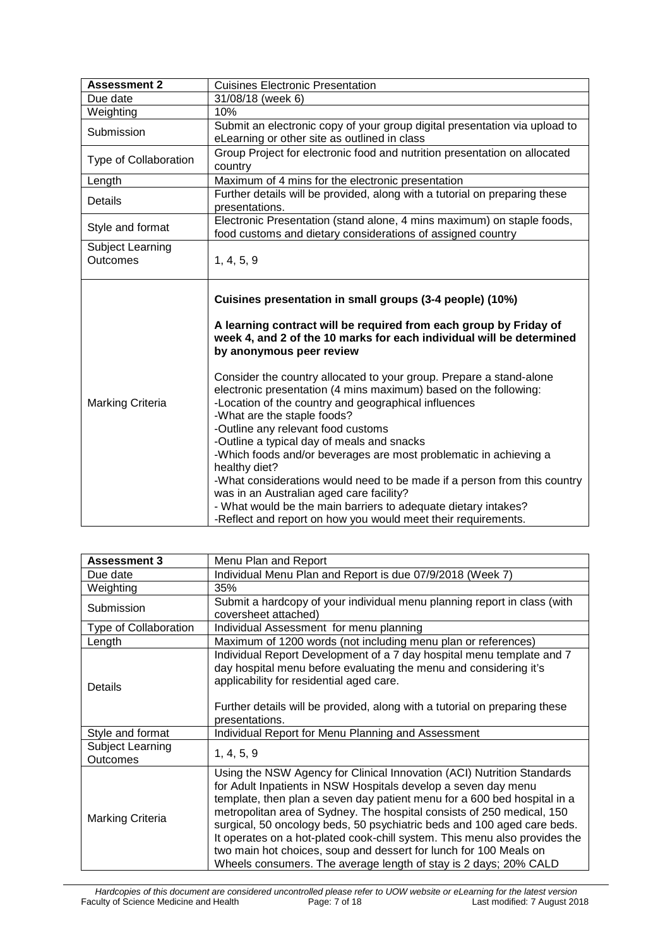| <b>Assessment 2</b>                                                                                                                      | <b>Cuisines Electronic Presentation</b>                                                                                                                                                                                                                                                                                                                                                                                                                                                                                                                                                                                                                                                                                                                                                                                                                                                                  |  |  |
|------------------------------------------------------------------------------------------------------------------------------------------|----------------------------------------------------------------------------------------------------------------------------------------------------------------------------------------------------------------------------------------------------------------------------------------------------------------------------------------------------------------------------------------------------------------------------------------------------------------------------------------------------------------------------------------------------------------------------------------------------------------------------------------------------------------------------------------------------------------------------------------------------------------------------------------------------------------------------------------------------------------------------------------------------------|--|--|
| Due date                                                                                                                                 | 31/08/18 (week 6)                                                                                                                                                                                                                                                                                                                                                                                                                                                                                                                                                                                                                                                                                                                                                                                                                                                                                        |  |  |
| Weighting                                                                                                                                | 10%                                                                                                                                                                                                                                                                                                                                                                                                                                                                                                                                                                                                                                                                                                                                                                                                                                                                                                      |  |  |
| Submit an electronic copy of your group digital presentation via upload to<br>Submission<br>eLearning or other site as outlined in class |                                                                                                                                                                                                                                                                                                                                                                                                                                                                                                                                                                                                                                                                                                                                                                                                                                                                                                          |  |  |
| Type of Collaboration                                                                                                                    | Group Project for electronic food and nutrition presentation on allocated<br>country                                                                                                                                                                                                                                                                                                                                                                                                                                                                                                                                                                                                                                                                                                                                                                                                                     |  |  |
| Length                                                                                                                                   | Maximum of 4 mins for the electronic presentation                                                                                                                                                                                                                                                                                                                                                                                                                                                                                                                                                                                                                                                                                                                                                                                                                                                        |  |  |
| Details                                                                                                                                  | Further details will be provided, along with a tutorial on preparing these<br>presentations.                                                                                                                                                                                                                                                                                                                                                                                                                                                                                                                                                                                                                                                                                                                                                                                                             |  |  |
| Style and format                                                                                                                         | Electronic Presentation (stand alone, 4 mins maximum) on staple foods,<br>food customs and dietary considerations of assigned country                                                                                                                                                                                                                                                                                                                                                                                                                                                                                                                                                                                                                                                                                                                                                                    |  |  |
| Subject Learning<br><b>Outcomes</b>                                                                                                      | 1, 4, 5, 9                                                                                                                                                                                                                                                                                                                                                                                                                                                                                                                                                                                                                                                                                                                                                                                                                                                                                               |  |  |
| <b>Marking Criteria</b>                                                                                                                  | Cuisines presentation in small groups (3-4 people) (10%)<br>A learning contract will be required from each group by Friday of<br>week 4, and 2 of the 10 marks for each individual will be determined<br>by anonymous peer review<br>Consider the country allocated to your group. Prepare a stand-alone<br>electronic presentation (4 mins maximum) based on the following:<br>-Location of the country and geographical influences<br>-What are the staple foods?<br>-Outline any relevant food customs<br>-Outline a typical day of meals and snacks<br>-Which foods and/or beverages are most problematic in achieving a<br>healthy diet?<br>-What considerations would need to be made if a person from this country<br>was in an Australian aged care facility?<br>- What would be the main barriers to adequate dietary intakes?<br>-Reflect and report on how you would meet their requirements. |  |  |

| <b>Assessment 3</b>          | Menu Plan and Report                                                                                                                                                                                                                                                                                                                                                                                                                                                                                                                                                                             |  |  |
|------------------------------|--------------------------------------------------------------------------------------------------------------------------------------------------------------------------------------------------------------------------------------------------------------------------------------------------------------------------------------------------------------------------------------------------------------------------------------------------------------------------------------------------------------------------------------------------------------------------------------------------|--|--|
| Due date                     | Individual Menu Plan and Report is due 07/9/2018 (Week 7)                                                                                                                                                                                                                                                                                                                                                                                                                                                                                                                                        |  |  |
| Weighting                    | 35%                                                                                                                                                                                                                                                                                                                                                                                                                                                                                                                                                                                              |  |  |
| Submission                   | Submit a hardcopy of your individual menu planning report in class (with                                                                                                                                                                                                                                                                                                                                                                                                                                                                                                                         |  |  |
|                              | coversheet attached)                                                                                                                                                                                                                                                                                                                                                                                                                                                                                                                                                                             |  |  |
| Type of Collaboration        | Individual Assessment for menu planning                                                                                                                                                                                                                                                                                                                                                                                                                                                                                                                                                          |  |  |
| Length                       | Maximum of 1200 words (not including menu plan or references)                                                                                                                                                                                                                                                                                                                                                                                                                                                                                                                                    |  |  |
| Details                      | Individual Report Development of a 7 day hospital menu template and 7<br>day hospital menu before evaluating the menu and considering it's<br>applicability for residential aged care.<br>Further details will be provided, along with a tutorial on preparing these<br>presentations.                                                                                                                                                                                                                                                                                                           |  |  |
| Style and format             | Individual Report for Menu Planning and Assessment                                                                                                                                                                                                                                                                                                                                                                                                                                                                                                                                               |  |  |
| Subject Learning<br>Outcomes | 1, 4, 5, 9                                                                                                                                                                                                                                                                                                                                                                                                                                                                                                                                                                                       |  |  |
| <b>Marking Criteria</b>      | Using the NSW Agency for Clinical Innovation (ACI) Nutrition Standards<br>for Adult Inpatients in NSW Hospitals develop a seven day menu<br>template, then plan a seven day patient menu for a 600 bed hospital in a<br>metropolitan area of Sydney. The hospital consists of 250 medical, 150<br>surgical, 50 oncology beds, 50 psychiatric beds and 100 aged care beds.<br>It operates on a hot-plated cook-chill system. This menu also provides the<br>two main hot choices, soup and dessert for lunch for 100 Meals on<br>Wheels consumers. The average length of stay is 2 days; 20% CALD |  |  |

*Hardcopies of this document are considered uncontrolled please refer to UOW website or eLearning for the latest version* Faculty of Science Medicine and Health Page: 7 of 18 Last modified: 7 August 2018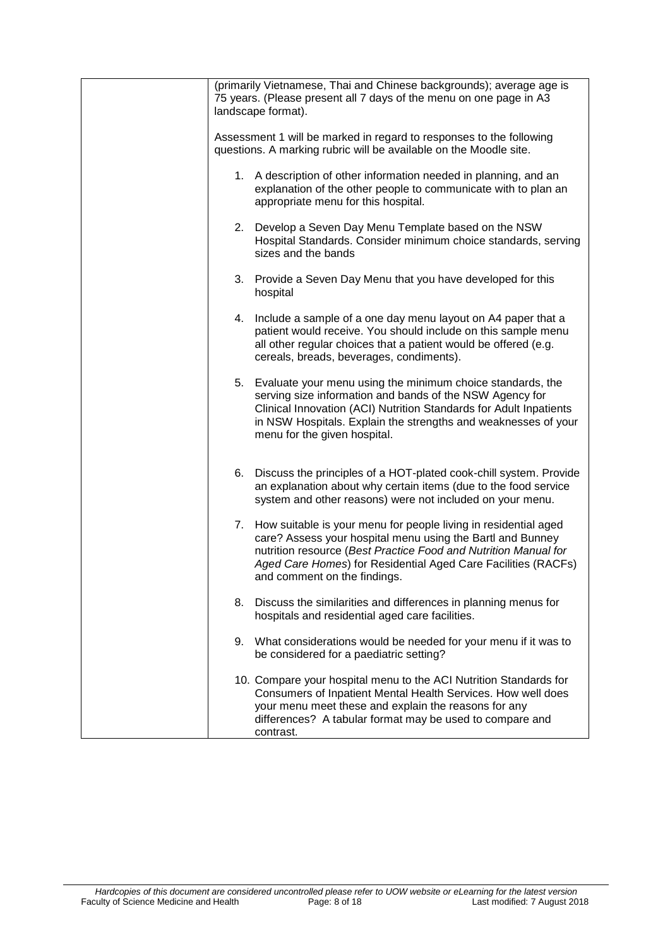|    | (primarily Vietnamese, Thai and Chinese backgrounds); average age is<br>75 years. (Please present all 7 days of the menu on one page in A3<br>landscape format).                                                                                                                                     |
|----|------------------------------------------------------------------------------------------------------------------------------------------------------------------------------------------------------------------------------------------------------------------------------------------------------|
|    | Assessment 1 will be marked in regard to responses to the following<br>questions. A marking rubric will be available on the Moodle site.                                                                                                                                                             |
|    | 1. A description of other information needed in planning, and an<br>explanation of the other people to communicate with to plan an<br>appropriate menu for this hospital.                                                                                                                            |
|    | 2. Develop a Seven Day Menu Template based on the NSW<br>Hospital Standards. Consider minimum choice standards, serving<br>sizes and the bands                                                                                                                                                       |
|    | 3. Provide a Seven Day Menu that you have developed for this<br>hospital                                                                                                                                                                                                                             |
|    | 4. Include a sample of a one day menu layout on A4 paper that a<br>patient would receive. You should include on this sample menu<br>all other regular choices that a patient would be offered (e.g.<br>cereals, breads, beverages, condiments).                                                      |
|    | 5. Evaluate your menu using the minimum choice standards, the<br>serving size information and bands of the NSW Agency for<br>Clinical Innovation (ACI) Nutrition Standards for Adult Inpatients<br>in NSW Hospitals. Explain the strengths and weaknesses of your<br>menu for the given hospital.    |
| 6. | Discuss the principles of a HOT-plated cook-chill system. Provide<br>an explanation about why certain items (due to the food service<br>system and other reasons) were not included on your menu.                                                                                                    |
|    | 7. How suitable is your menu for people living in residential aged<br>care? Assess your hospital menu using the Bartl and Bunney<br>nutrition resource (Best Practice Food and Nutrition Manual for<br>Aged Care Homes) for Residential Aged Care Facilities (RACFs)<br>and comment on the findings. |
| 8. | Discuss the similarities and differences in planning menus for<br>hospitals and residential aged care facilities.                                                                                                                                                                                    |
|    | 9. What considerations would be needed for your menu if it was to<br>be considered for a paediatric setting?                                                                                                                                                                                         |
|    | 10. Compare your hospital menu to the ACI Nutrition Standards for<br>Consumers of Inpatient Mental Health Services. How well does<br>your menu meet these and explain the reasons for any<br>differences? A tabular format may be used to compare and<br>contrast.                                   |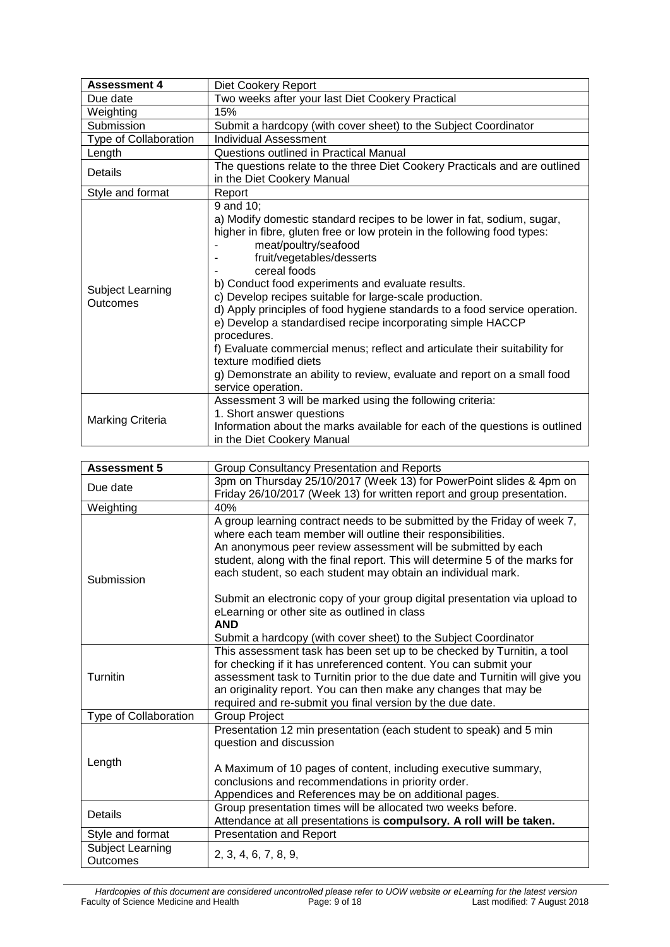| <b>Assessment 4</b>                 | Diet Cookery Report                                                                                                                                                                                                                                                                                                                                                                                                                                                                                                                                                                                                                                                                                                        |  |  |
|-------------------------------------|----------------------------------------------------------------------------------------------------------------------------------------------------------------------------------------------------------------------------------------------------------------------------------------------------------------------------------------------------------------------------------------------------------------------------------------------------------------------------------------------------------------------------------------------------------------------------------------------------------------------------------------------------------------------------------------------------------------------------|--|--|
| Due date                            | Two weeks after your last Diet Cookery Practical                                                                                                                                                                                                                                                                                                                                                                                                                                                                                                                                                                                                                                                                           |  |  |
| Weighting                           | 15%                                                                                                                                                                                                                                                                                                                                                                                                                                                                                                                                                                                                                                                                                                                        |  |  |
| Submission                          | Submit a hardcopy (with cover sheet) to the Subject Coordinator                                                                                                                                                                                                                                                                                                                                                                                                                                                                                                                                                                                                                                                            |  |  |
| Type of Collaboration               | Individual Assessment                                                                                                                                                                                                                                                                                                                                                                                                                                                                                                                                                                                                                                                                                                      |  |  |
| Length                              | Questions outlined in Practical Manual                                                                                                                                                                                                                                                                                                                                                                                                                                                                                                                                                                                                                                                                                     |  |  |
| Details                             | The questions relate to the three Diet Cookery Practicals and are outlined<br>in the Diet Cookery Manual                                                                                                                                                                                                                                                                                                                                                                                                                                                                                                                                                                                                                   |  |  |
| Style and format                    | Report                                                                                                                                                                                                                                                                                                                                                                                                                                                                                                                                                                                                                                                                                                                     |  |  |
| <b>Subject Learning</b><br>Outcomes | 9 and 10:<br>a) Modify domestic standard recipes to be lower in fat, sodium, sugar,<br>higher in fibre, gluten free or low protein in the following food types:<br>meat/poultry/seafood<br>fruit/vegetables/desserts<br>cereal foods<br>b) Conduct food experiments and evaluate results.<br>c) Develop recipes suitable for large-scale production.<br>d) Apply principles of food hygiene standards to a food service operation.<br>e) Develop a standardised recipe incorporating simple HACCP<br>procedures.<br>f) Evaluate commercial menus; reflect and articulate their suitability for<br>texture modified diets<br>g) Demonstrate an ability to review, evaluate and report on a small food<br>service operation. |  |  |
| <b>Marking Criteria</b>             | Assessment 3 will be marked using the following criteria:<br>1. Short answer questions<br>Information about the marks available for each of the questions is outlined<br>in the Diet Cookery Manual                                                                                                                                                                                                                                                                                                                                                                                                                                                                                                                        |  |  |

| <b>Assessment 5</b>          | Group Consultancy Presentation and Reports                                                                                                                                                                                                                                                                                                                  |  |
|------------------------------|-------------------------------------------------------------------------------------------------------------------------------------------------------------------------------------------------------------------------------------------------------------------------------------------------------------------------------------------------------------|--|
| Due date                     | 3pm on Thursday 25/10/2017 (Week 13) for PowerPoint slides & 4pm on                                                                                                                                                                                                                                                                                         |  |
|                              | Friday 26/10/2017 (Week 13) for written report and group presentation.                                                                                                                                                                                                                                                                                      |  |
| Weighting                    | 40%                                                                                                                                                                                                                                                                                                                                                         |  |
| Submission                   | A group learning contract needs to be submitted by the Friday of week 7,<br>where each team member will outline their responsibilities.<br>An anonymous peer review assessment will be submitted by each<br>student, along with the final report. This will determine 5 of the marks for<br>each student, so each student may obtain an individual mark.    |  |
|                              | Submit an electronic copy of your group digital presentation via upload to<br>eLearning or other site as outlined in class<br><b>AND</b>                                                                                                                                                                                                                    |  |
|                              | Submit a hardcopy (with cover sheet) to the Subject Coordinator                                                                                                                                                                                                                                                                                             |  |
| Turnitin                     | This assessment task has been set up to be checked by Turnitin, a tool<br>for checking if it has unreferenced content. You can submit your<br>assessment task to Turnitin prior to the due date and Turnitin will give you<br>an originality report. You can then make any changes that may be<br>required and re-submit you final version by the due date. |  |
| Type of Collaboration        | <b>Group Project</b>                                                                                                                                                                                                                                                                                                                                        |  |
| Length                       | Presentation 12 min presentation (each student to speak) and 5 min<br>question and discussion<br>A Maximum of 10 pages of content, including executive summary,<br>conclusions and recommendations in priority order.<br>Appendices and References may be on additional pages.                                                                              |  |
| <b>Details</b>               | Group presentation times will be allocated two weeks before.<br>Attendance at all presentations is compulsory. A roll will be taken.                                                                                                                                                                                                                        |  |
| Style and format             | <b>Presentation and Report</b>                                                                                                                                                                                                                                                                                                                              |  |
| Subject Learning<br>Outcomes | 2, 3, 4, 6, 7, 8, 9,                                                                                                                                                                                                                                                                                                                                        |  |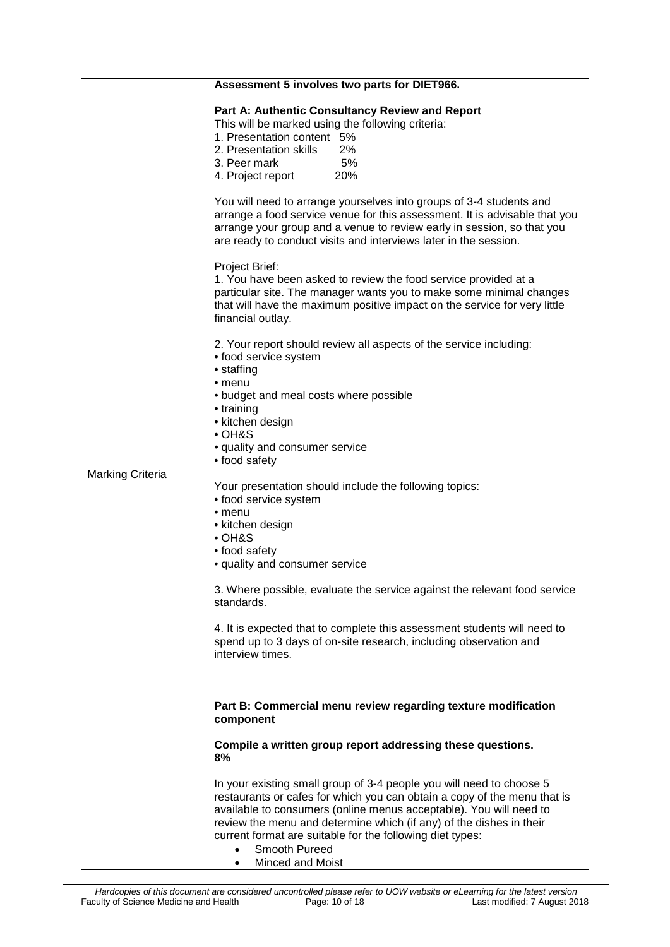|                         | Assessment 5 involves two parts for DIET966.                                                                                                                                                                                                                                                                                                                                                                      |
|-------------------------|-------------------------------------------------------------------------------------------------------------------------------------------------------------------------------------------------------------------------------------------------------------------------------------------------------------------------------------------------------------------------------------------------------------------|
|                         | Part A: Authentic Consultancy Review and Report<br>This will be marked using the following criteria:<br>1. Presentation content 5%<br>2. Presentation skills 2%<br>5%<br>3. Peer mark<br>4. Project report 20%                                                                                                                                                                                                    |
|                         | You will need to arrange yourselves into groups of 3-4 students and<br>arrange a food service venue for this assessment. It is advisable that you<br>arrange your group and a venue to review early in session, so that you<br>are ready to conduct visits and interviews later in the session.                                                                                                                   |
|                         | Project Brief:<br>1. You have been asked to review the food service provided at a<br>particular site. The manager wants you to make some minimal changes<br>that will have the maximum positive impact on the service for very little<br>financial outlay.                                                                                                                                                        |
|                         | 2. Your report should review all aspects of the service including:<br>• food service system<br>• staffing<br>$•$ menu                                                                                                                                                                                                                                                                                             |
|                         | • budget and meal costs where possible<br>• training<br>• kitchen design<br>$\cdot$ OH&S<br>• quality and consumer service                                                                                                                                                                                                                                                                                        |
| <b>Marking Criteria</b> | • food safety                                                                                                                                                                                                                                                                                                                                                                                                     |
|                         | Your presentation should include the following topics:<br>• food service system<br>$•$ menu                                                                                                                                                                                                                                                                                                                       |
|                         | • kitchen design<br>• OH&S<br>• food safety                                                                                                                                                                                                                                                                                                                                                                       |
|                         | • quality and consumer service                                                                                                                                                                                                                                                                                                                                                                                    |
|                         | 3. Where possible, evaluate the service against the relevant food service<br>standards.                                                                                                                                                                                                                                                                                                                           |
|                         | 4. It is expected that to complete this assessment students will need to<br>spend up to 3 days of on-site research, including observation and<br>interview times.                                                                                                                                                                                                                                                 |
|                         | Part B: Commercial menu review regarding texture modification<br>component                                                                                                                                                                                                                                                                                                                                        |
|                         | Compile a written group report addressing these questions.<br>8%                                                                                                                                                                                                                                                                                                                                                  |
|                         | In your existing small group of 3-4 people you will need to choose 5<br>restaurants or cafes for which you can obtain a copy of the menu that is<br>available to consumers (online menus acceptable). You will need to<br>review the menu and determine which (if any) of the dishes in their<br>current format are suitable for the following diet types:<br>Smooth Pureed<br>$\bullet$<br>Minced and Moist<br>٠ |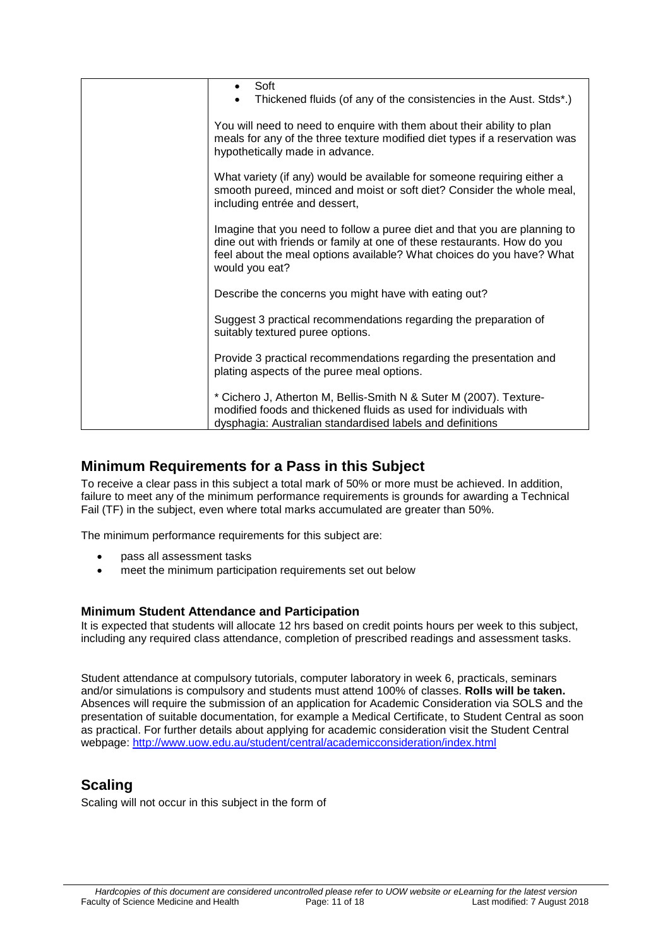| Soft<br>Thickened fluids (of any of the consistencies in the Aust. Stds*.)                                                                                                                                                                      |
|-------------------------------------------------------------------------------------------------------------------------------------------------------------------------------------------------------------------------------------------------|
|                                                                                                                                                                                                                                                 |
| You will need to need to enquire with them about their ability to plan<br>meals for any of the three texture modified diet types if a reservation was<br>hypothetically made in advance.                                                        |
| What variety (if any) would be available for someone requiring either a<br>smooth pureed, minced and moist or soft diet? Consider the whole meal,<br>including entrée and dessert,                                                              |
| Imagine that you need to follow a puree diet and that you are planning to<br>dine out with friends or family at one of these restaurants. How do you<br>feel about the meal options available? What choices do you have? What<br>would you eat? |
| Describe the concerns you might have with eating out?                                                                                                                                                                                           |
| Suggest 3 practical recommendations regarding the preparation of<br>suitably textured puree options.                                                                                                                                            |
| Provide 3 practical recommendations regarding the presentation and<br>plating aspects of the puree meal options.                                                                                                                                |
| * Cichero J, Atherton M, Bellis-Smith N & Suter M (2007). Texture-<br>modified foods and thickened fluids as used for individuals with<br>dysphagia: Australian standardised labels and definitions                                             |

## <span id="page-10-0"></span>**Minimum Requirements for a Pass in this Subject**

To receive a clear pass in this subject a total mark of 50% or more must be achieved. In addition, failure to meet any of the minimum performance requirements is grounds for awarding a Technical Fail (TF) in the subject, even where total marks accumulated are greater than 50%.

The minimum performance requirements for this subject are:

- pass all assessment tasks
- meet the minimum participation requirements set out below

#### <span id="page-10-1"></span>**Minimum Student Attendance and Participation**

It is expected that students will allocate 12 hrs based on credit points hours per week to this subject, including any required class attendance, completion of prescribed readings and assessment tasks.

Student attendance at compulsory tutorials, computer laboratory in week 6, practicals, seminars and/or simulations is compulsory and students must attend 100% of classes. **Rolls will be taken.** Absences will require the submission of an application for Academic Consideration via SOLS and the presentation of suitable documentation, for example a Medical Certificate, to Student Central as soon as practical. For further details about applying for academic consideration visit the Student Central webpage:<http://www.uow.edu.au/student/central/academicconsideration/index.html>

### <span id="page-10-2"></span>**Scaling**

Scaling will not occur in this subject in the form of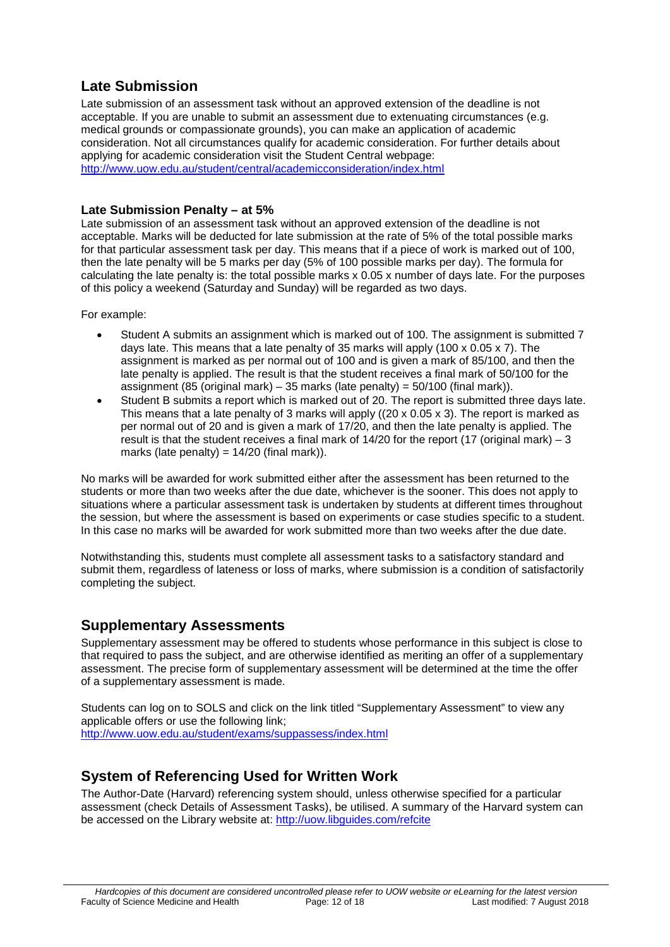## <span id="page-11-0"></span>**Late Submission**

Late submission of an assessment task without an approved extension of the deadline is not acceptable. If you are unable to submit an assessment due to extenuating circumstances (e.g. medical grounds or compassionate grounds), you can make an application of academic consideration. Not all circumstances qualify for academic consideration. For further details about applying for academic consideration visit the Student Central webpage: <http://www.uow.edu.au/student/central/academicconsideration/index.html>

#### <span id="page-11-1"></span>**Late Submission Penalty – at 5%**

Late submission of an assessment task without an approved extension of the deadline is not acceptable. Marks will be deducted for late submission at the rate of 5% of the total possible marks for that particular assessment task per day. This means that if a piece of work is marked out of 100, then the late penalty will be 5 marks per day (5% of 100 possible marks per day). The formula for calculating the late penalty is: the total possible marks x 0.05 x number of days late. For the purposes of this policy a weekend (Saturday and Sunday) will be regarded as two days.

For example:

- Student A submits an assignment which is marked out of 100. The assignment is submitted 7 days late. This means that a late penalty of 35 marks will apply (100 x 0.05 x 7). The assignment is marked as per normal out of 100 and is given a mark of 85/100, and then the late penalty is applied. The result is that the student receives a final mark of 50/100 for the assignment (85 (original mark) – 35 marks (late penalty) =  $50/100$  (final mark)).
- Student B submits a report which is marked out of 20. The report is submitted three days late. This means that a late penalty of 3 marks will apply ((20 x 0.05 x 3). The report is marked as per normal out of 20 and is given a mark of 17/20, and then the late penalty is applied. The result is that the student receives a final mark of 14/20 for the report (17 (original mark) – 3 marks (late penalty) =  $14/20$  (final mark)).

No marks will be awarded for work submitted either after the assessment has been returned to the students or more than two weeks after the due date, whichever is the sooner. This does not apply to situations where a particular assessment task is undertaken by students at different times throughout the session, but where the assessment is based on experiments or case studies specific to a student. In this case no marks will be awarded for work submitted more than two weeks after the due date.

Notwithstanding this, students must complete all assessment tasks to a satisfactory standard and submit them, regardless of lateness or loss of marks, where submission is a condition of satisfactorily completing the subject.

### <span id="page-11-2"></span>**Supplementary Assessments**

Supplementary assessment may be offered to students whose performance in this subject is close to that required to pass the subject, and are otherwise identified as meriting an offer of a supplementary assessment. The precise form of supplementary assessment will be determined at the time the offer of a supplementary assessment is made.

Students can log on to SOLS and click on the link titled "Supplementary Assessment" to view any applicable offers or use the following link; <http://www.uow.edu.au/student/exams/suppassess/index.html>

### <span id="page-11-3"></span>**System of Referencing Used for Written Work**

The Author-Date (Harvard) referencing system should, unless otherwise specified for a particular assessment (check Details of Assessment Tasks), be utilised. A summary of the Harvard system can be accessed on the Library website at: <http://uow.libguides.com/refcite>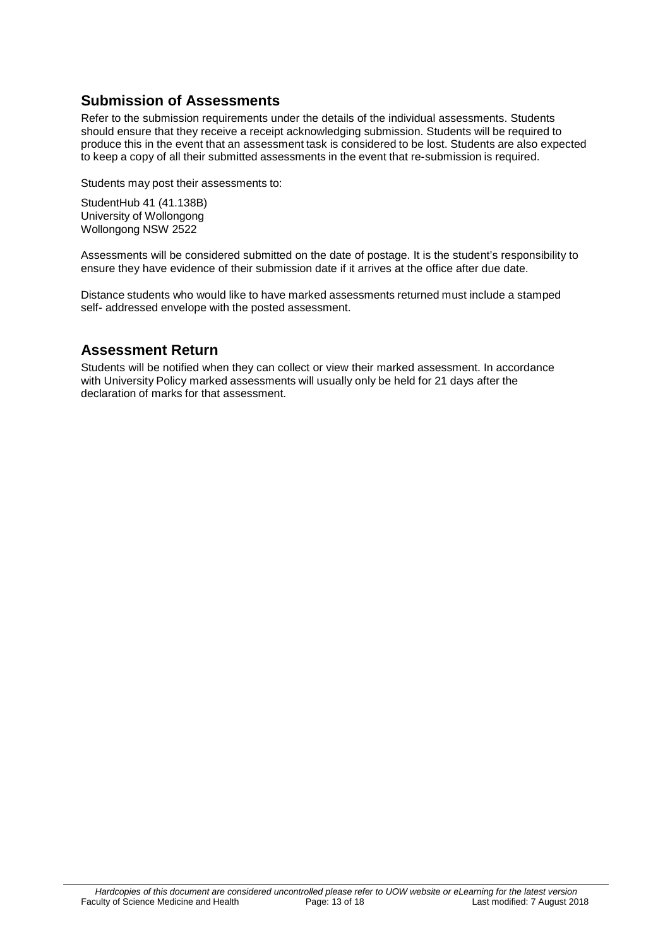## <span id="page-12-0"></span>**Submission of Assessments**

Refer to the submission requirements under the details of the individual assessments. Students should ensure that they receive a receipt acknowledging submission. Students will be required to produce this in the event that an assessment task is considered to be lost. Students are also expected to keep a copy of all their submitted assessments in the event that re-submission is required.

Students may post their assessments to:

StudentHub 41 (41.138B) University of Wollongong Wollongong NSW 2522

Assessments will be considered submitted on the date of postage. It is the student's responsibility to ensure they have evidence of their submission date if it arrives at the office after due date.

Distance students who would like to have marked assessments returned must include a stamped self- addressed envelope with the posted assessment.

## <span id="page-12-1"></span>**Assessment Return**

Students will be notified when they can collect or view their marked assessment. In accordance with University Policy marked assessments will usually only be held for 21 days after the declaration of marks for that assessment.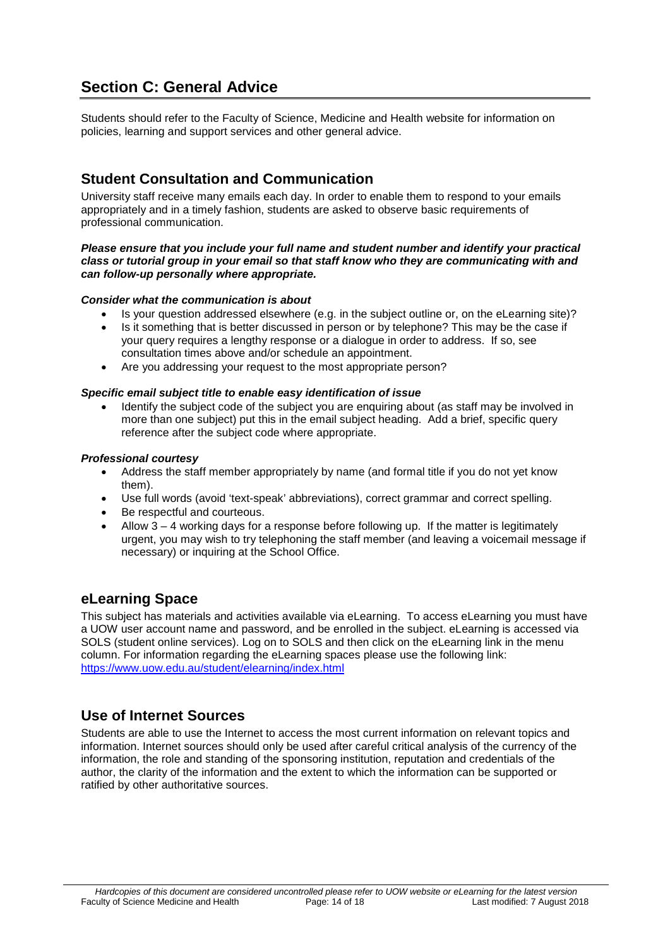# <span id="page-13-0"></span>**Section C: General Advice**

Students should refer to the Faculty of Science, Medicine and Health website for information on policies, learning and support services and other general advice.

## <span id="page-13-1"></span>**Student Consultation and Communication**

University staff receive many emails each day. In order to enable them to respond to your emails appropriately and in a timely fashion, students are asked to observe basic requirements of professional communication.

#### *Please ensure that you include your full name and student number and identify your practical class or tutorial group in your email so that staff know who they are communicating with and can follow-up personally where appropriate.*

#### *Consider what the communication is about*

- Is your question addressed elsewhere (e.g. in the subject outline or, on the eLearning site)?
- Is it something that is better discussed in person or by telephone? This may be the case if your query requires a lengthy response or a dialogue in order to address. If so, see consultation times above and/or schedule an appointment.
- Are you addressing your request to the most appropriate person?

#### *Specific email subject title to enable easy identification of issue*

• Identify the subject code of the subject you are enquiring about (as staff may be involved in more than one subject) put this in the email subject heading. Add a brief, specific query reference after the subject code where appropriate.

#### *Professional courtesy*

- Address the staff member appropriately by name (and formal title if you do not yet know them).
- Use full words (avoid 'text-speak' abbreviations), correct grammar and correct spelling.<br>• Be respectful and courteous.
- Be respectful and courteous.
- Allow  $3 4$  working days for a response before following up. If the matter is legitimately urgent, you may wish to try telephoning the staff member (and leaving a voicemail message if necessary) or inquiring at the School Office.

### <span id="page-13-2"></span>**eLearning Space**

This subject has materials and activities available via eLearning. To access eLearning you must have a UOW user account name and password, and be enrolled in the subject. eLearning is accessed via SOLS (student online services). Log on to SOLS and then click on the eLearning link in the menu column. For information regarding the eLearning spaces please use the following link: <https://www.uow.edu.au/student/elearning/index.html>

#### <span id="page-13-3"></span>**Use of Internet Sources**

Students are able to use the Internet to access the most current information on relevant topics and information. Internet sources should only be used after careful critical analysis of the currency of the information, the role and standing of the sponsoring institution, reputation and credentials of the author, the clarity of the information and the extent to which the information can be supported or ratified by other authoritative sources.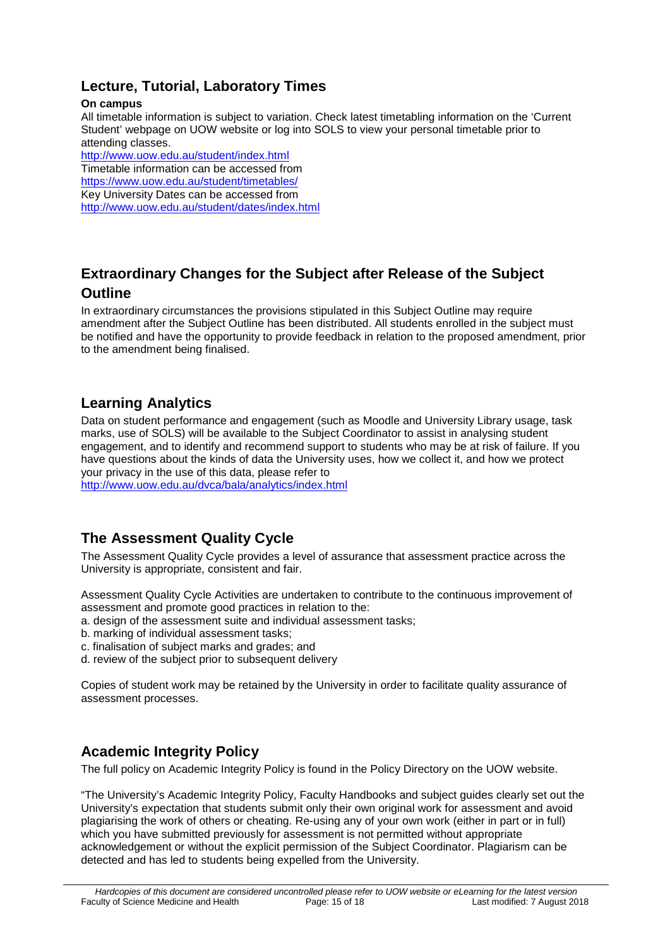## <span id="page-14-0"></span>**Lecture, Tutorial, Laboratory Times**

#### **On campus**

All timetable information is subject to variation. Check latest timetabling information on the 'Current Student' webpage on UOW website or log into SOLS to view your personal timetable prior to attending classes.

<http://www.uow.edu.au/student/index.html> Timetable information can be accessed from <https://www.uow.edu.au/student/timetables/> Key University Dates can be accessed from <http://www.uow.edu.au/student/dates/index.html>

## <span id="page-14-1"></span>**Extraordinary Changes for the Subject after Release of the Subject Outline**

In extraordinary circumstances the provisions stipulated in this Subject Outline may require amendment after the Subject Outline has been distributed. All students enrolled in the subject must be notified and have the opportunity to provide feedback in relation to the proposed amendment, prior to the amendment being finalised.

## <span id="page-14-2"></span>**Learning Analytics**

Data on student performance and engagement (such as Moodle and University Library usage, task marks, use of SOLS) will be available to the Subject Coordinator to assist in analysing student engagement, and to identify and recommend support to students who may be at risk of failure. If you have questions about the kinds of data the University uses, how we collect it, and how we protect your privacy in the use of this data, please refer to

<http://www.uow.edu.au/dvca/bala/analytics/index.html>

### <span id="page-14-3"></span>**The Assessment Quality Cycle**

The Assessment Quality Cycle provides a level of assurance that assessment practice across the University is appropriate, consistent and fair.

Assessment Quality Cycle Activities are undertaken to contribute to the continuous improvement of assessment and promote good practices in relation to the:

- a. design of the assessment suite and individual assessment tasks;
- b. marking of individual assessment tasks;
- c. finalisation of subject marks and grades; and
- d. review of the subject prior to subsequent delivery

Copies of student work may be retained by the University in order to facilitate quality assurance of assessment processes.

### <span id="page-14-4"></span>**Academic Integrity Policy**

The full policy on Academic Integrity Policy is found in the Policy Directory on the UOW website.

"The University's Academic Integrity Policy, Faculty Handbooks and subject guides clearly set out the University's expectation that students submit only their own original work for assessment and avoid plagiarising the work of others or cheating. Re-using any of your own work (either in part or in full) which you have submitted previously for assessment is not permitted without appropriate acknowledgement or without the explicit permission of the Subject Coordinator. Plagiarism can be detected and has led to students being expelled from the University.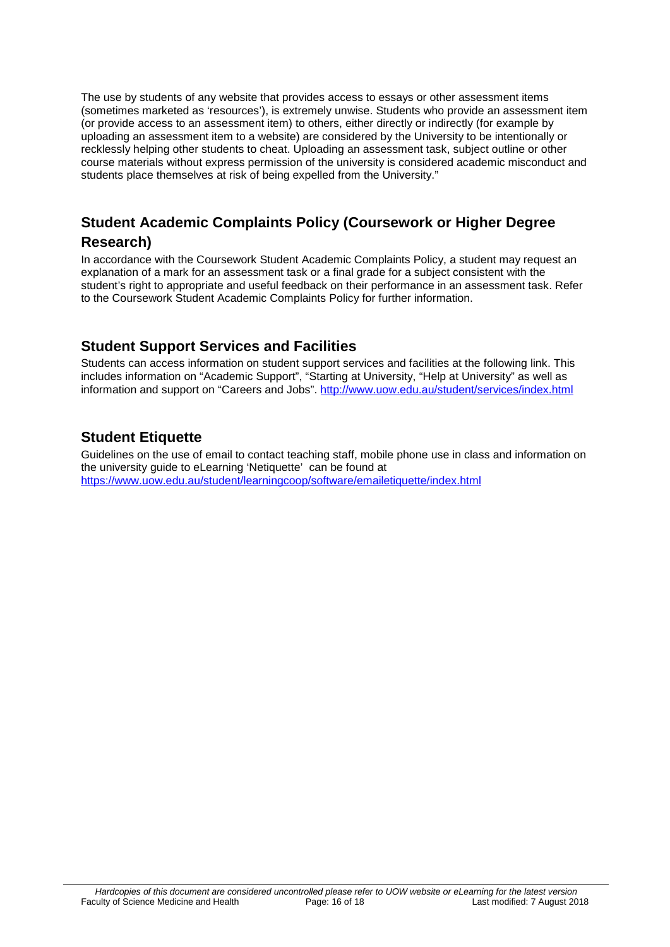The use by students of any website that provides access to essays or other assessment items (sometimes marketed as 'resources'), is extremely unwise. Students who provide an assessment item (or provide access to an assessment item) to others, either directly or indirectly (for example by uploading an assessment item to a website) are considered by the University to be intentionally or recklessly helping other students to cheat. Uploading an assessment task, subject outline or other course materials without express permission of the university is considered academic misconduct and students place themselves at risk of being expelled from the University."

## <span id="page-15-0"></span>**Student Academic Complaints Policy (Coursework or Higher Degree Research)**

In accordance with the Coursework Student Academic Complaints Policy, a student may request an explanation of a mark for an assessment task or a final grade for a subject consistent with the student's right to appropriate and useful feedback on their performance in an assessment task. Refer to the Coursework Student Academic Complaints Policy for further information.

## <span id="page-15-1"></span>**Student Support Services and Facilities**

Students can access information on student support services and facilities at the following link. This includes information on "Academic Support", "Starting at University, "Help at University" as well as information and support on "Careers and Jobs".<http://www.uow.edu.au/student/services/index.html>

## <span id="page-15-2"></span>**Student Etiquette**

Guidelines on the use of email to contact teaching staff, mobile phone use in class and information on the university guide to eLearning 'Netiquette' can be found at <https://www.uow.edu.au/student/learningcoop/software/emailetiquette/index.html>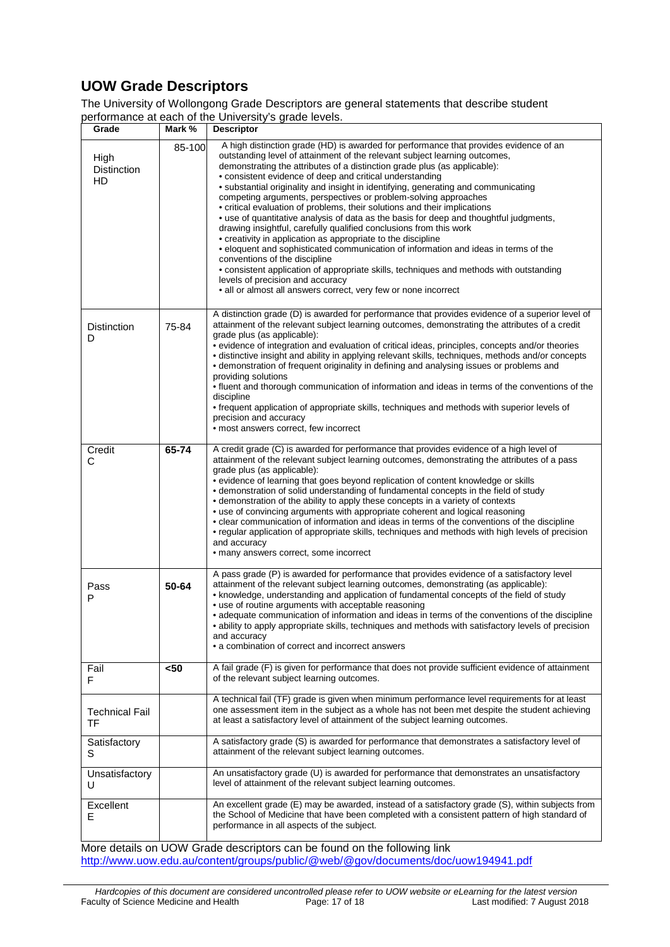# <span id="page-16-0"></span>**UOW Grade Descriptors**

The University of Wollongong Grade Descriptors are general statements that describe student performance at each of the University's grade levels.

| Grade                                                                                                                                                         | Mark % | $S1$ $\ldots$ , $S2$ $\ldots$ $S3$ $\ldots$ $S4$<br><b>Descriptor</b>                                                                                                                                                                                                                                                                                                                                                                                                                                                                                                                                                                                                                                                                                                                                                                                                                                                                                                                                                                                                                                        |  |  |
|---------------------------------------------------------------------------------------------------------------------------------------------------------------|--------|--------------------------------------------------------------------------------------------------------------------------------------------------------------------------------------------------------------------------------------------------------------------------------------------------------------------------------------------------------------------------------------------------------------------------------------------------------------------------------------------------------------------------------------------------------------------------------------------------------------------------------------------------------------------------------------------------------------------------------------------------------------------------------------------------------------------------------------------------------------------------------------------------------------------------------------------------------------------------------------------------------------------------------------------------------------------------------------------------------------|--|--|
| High<br><b>Distinction</b><br>HD                                                                                                                              | 85-100 | A high distinction grade (HD) is awarded for performance that provides evidence of an<br>outstanding level of attainment of the relevant subject learning outcomes,<br>demonstrating the attributes of a distinction grade plus (as applicable):<br>• consistent evidence of deep and critical understanding<br>• substantial originality and insight in identifying, generating and communicating<br>competing arguments, perspectives or problem-solving approaches<br>• critical evaluation of problems, their solutions and their implications<br>• use of quantitative analysis of data as the basis for deep and thoughtful judgments,<br>drawing insightful, carefully qualified conclusions from this work<br>• creativity in application as appropriate to the discipline<br>• eloquent and sophisticated communication of information and ideas in terms of the<br>conventions of the discipline<br>· consistent application of appropriate skills, techniques and methods with outstanding<br>levels of precision and accuracy<br>• all or almost all answers correct, very few or none incorrect |  |  |
| <b>Distinction</b><br>D                                                                                                                                       | 75-84  | A distinction grade (D) is awarded for performance that provides evidence of a superior level of<br>attainment of the relevant subject learning outcomes, demonstrating the attributes of a credit<br>grade plus (as applicable):<br>• evidence of integration and evaluation of critical ideas, principles, concepts and/or theories<br>• distinctive insight and ability in applying relevant skills, techniques, methods and/or concepts<br>• demonstration of frequent originality in defining and analysing issues or problems and<br>providing solutions<br>. fluent and thorough communication of information and ideas in terms of the conventions of the<br>discipline<br>• frequent application of appropriate skills, techniques and methods with superior levels of<br>precision and accuracy<br>• most answers correct, few incorrect                                                                                                                                                                                                                                                           |  |  |
| Credit<br>С                                                                                                                                                   | 65-74  | A credit grade (C) is awarded for performance that provides evidence of a high level of<br>attainment of the relevant subject learning outcomes, demonstrating the attributes of a pass<br>grade plus (as applicable):<br>• evidence of learning that goes beyond replication of content knowledge or skills<br>• demonstration of solid understanding of fundamental concepts in the field of study<br>• demonstration of the ability to apply these concepts in a variety of contexts<br>• use of convincing arguments with appropriate coherent and logical reasoning<br>• clear communication of information and ideas in terms of the conventions of the discipline<br>• regular application of appropriate skills, techniques and methods with high levels of precision<br>and accuracy<br>• many answers correct, some incorrect                                                                                                                                                                                                                                                                      |  |  |
| Pass<br>P                                                                                                                                                     | 50-64  | A pass grade (P) is awarded for performance that provides evidence of a satisfactory level<br>attainment of the relevant subject learning outcomes, demonstrating (as applicable):<br>• knowledge, understanding and application of fundamental concepts of the field of study<br>• use of routine arguments with acceptable reasoning<br>• adequate communication of information and ideas in terms of the conventions of the discipline<br>· ability to apply appropriate skills, techniques and methods with satisfactory levels of precision<br>and accuracy<br>• a combination of correct and incorrect answers                                                                                                                                                                                                                                                                                                                                                                                                                                                                                         |  |  |
| Fail<br>F                                                                                                                                                     | $50$   | A fail grade (F) is given for performance that does not provide sufficient evidence of attainment<br>of the relevant subject learning outcomes.                                                                                                                                                                                                                                                                                                                                                                                                                                                                                                                                                                                                                                                                                                                                                                                                                                                                                                                                                              |  |  |
| <b>Technical Fail</b><br>TF                                                                                                                                   |        | A technical fail (TF) grade is given when minimum performance level requirements for at least<br>one assessment item in the subject as a whole has not been met despite the student achieving<br>at least a satisfactory level of attainment of the subject learning outcomes.                                                                                                                                                                                                                                                                                                                                                                                                                                                                                                                                                                                                                                                                                                                                                                                                                               |  |  |
| Satisfactory<br>S                                                                                                                                             |        | A satisfactory grade (S) is awarded for performance that demonstrates a satisfactory level of<br>attainment of the relevant subject learning outcomes.                                                                                                                                                                                                                                                                                                                                                                                                                                                                                                                                                                                                                                                                                                                                                                                                                                                                                                                                                       |  |  |
| Unsatisfactory<br>U                                                                                                                                           |        | An unsatisfactory grade (U) is awarded for performance that demonstrates an unsatisfactory<br>level of attainment of the relevant subject learning outcomes.                                                                                                                                                                                                                                                                                                                                                                                                                                                                                                                                                                                                                                                                                                                                                                                                                                                                                                                                                 |  |  |
| Excellent<br>Е                                                                                                                                                |        | An excellent grade (E) may be awarded, instead of a satisfactory grade (S), within subjects from<br>the School of Medicine that have been completed with a consistent pattern of high standard of<br>performance in all aspects of the subject.                                                                                                                                                                                                                                                                                                                                                                                                                                                                                                                                                                                                                                                                                                                                                                                                                                                              |  |  |
| More details on UOW Grade descriptors can be found on the following link<br>http://www.uow.edu.au/content/groups/public/@web/@gov/documents/doc/uow194941.pdf |        |                                                                                                                                                                                                                                                                                                                                                                                                                                                                                                                                                                                                                                                                                                                                                                                                                                                                                                                                                                                                                                                                                                              |  |  |